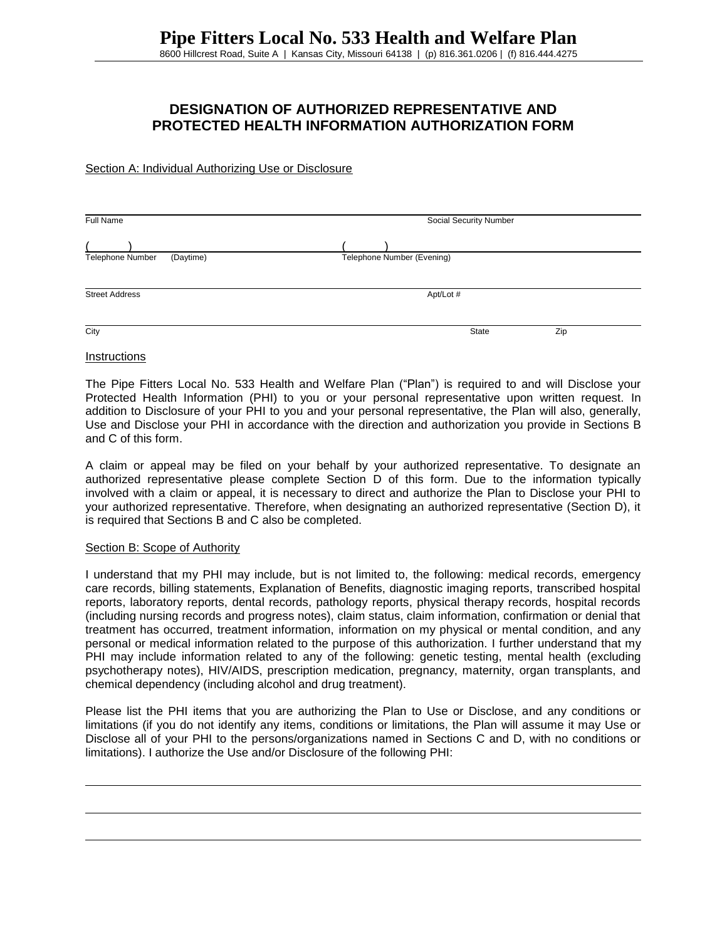# **DESIGNATION OF AUTHORIZED REPRESENTATIVE AND PROTECTED HEALTH INFORMATION AUTHORIZATION FORM**

Section A: Individual Authorizing Use or Disclosure

| Full Name                     | Social Security Number     |  |
|-------------------------------|----------------------------|--|
|                               |                            |  |
| Telephone Number<br>(Daytime) | Telephone Number (Evening) |  |
| <b>Street Address</b>         | Apt/Lot #                  |  |
| City                          | Zip<br>State               |  |

#### **Instructions**

The Pipe Fitters Local No. 533 Health and Welfare Plan ("Plan") is required to and will Disclose your Protected Health Information (PHI) to you or your personal representative upon written request. In addition to Disclosure of your PHI to you and your personal representative, the Plan will also, generally, Use and Disclose your PHI in accordance with the direction and authorization you provide in Sections B and C of this form.

A claim or appeal may be filed on your behalf by your authorized representative. To designate an authorized representative please complete Section D of this form. Due to the information typically involved with a claim or appeal, it is necessary to direct and authorize the Plan to Disclose your PHI to your authorized representative. Therefore, when designating an authorized representative (Section D), it is required that Sections B and C also be completed.

### Section B: Scope of Authority

I understand that my PHI may include, but is not limited to, the following: medical records, emergency care records, billing statements, Explanation of Benefits, diagnostic imaging reports, transcribed hospital reports, laboratory reports, dental records, pathology reports, physical therapy records, hospital records (including nursing records and progress notes), claim status, claim information, confirmation or denial that treatment has occurred, treatment information, information on my physical or mental condition, and any personal or medical information related to the purpose of this authorization. I further understand that my PHI may include information related to any of the following: genetic testing, mental health (excluding psychotherapy notes), HIV/AIDS, prescription medication, pregnancy, maternity, organ transplants, and chemical dependency (including alcohol and drug treatment).

Please list the PHI items that you are authorizing the Plan to Use or Disclose, and any conditions or limitations (if you do not identify any items, conditions or limitations, the Plan will assume it may Use or Disclose all of your PHI to the persons/organizations named in Sections C and D, with no conditions or limitations). I authorize the Use and/or Disclosure of the following PHI: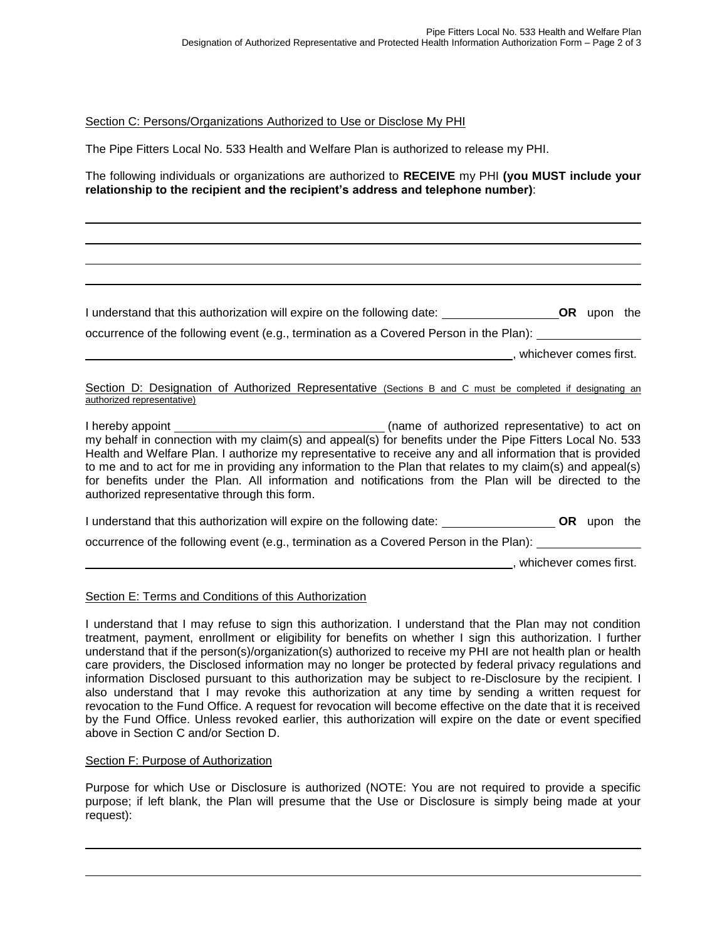Section C: Persons/Organizations Authorized to Use or Disclose My PHI

The Pipe Fitters Local No. 533 Health and Welfare Plan is authorized to release my PHI.

The following individuals or organizations are authorized to **RECEIVE** my PHI **(you MUST include your relationship to the recipient and the recipient's address and telephone number)**:

occurrence of the following event (e.g., termination as a Covered Person in the Plan): , whichever comes first.

I understand that this authorization will expire on the following date: **OR** upon the

Section D: Designation of Authorized Representative (Sections B and C must be completed if designating an authorized representative)

I hereby appoint (name of authorized representative) to act on my behalf in connection with my claim(s) and appeal(s) for benefits under the Pipe Fitters Local No. 533 Health and Welfare Plan. I authorize my representative to receive any and all information that is provided to me and to act for me in providing any information to the Plan that relates to my claim(s) and appeal(s) for benefits under the Plan. All information and notifications from the Plan will be directed to the authorized representative through this form.

I understand that this authorization will expire on the following date: **OR** upon the occurrence of the following event (e.g., termination as a Covered Person in the Plan): , whichever comes first.

### Section E: Terms and Conditions of this Authorization

I understand that I may refuse to sign this authorization. I understand that the Plan may not condition treatment, payment, enrollment or eligibility for benefits on whether I sign this authorization. I further understand that if the person(s)/organization(s) authorized to receive my PHI are not health plan or health care providers, the Disclosed information may no longer be protected by federal privacy regulations and information Disclosed pursuant to this authorization may be subject to re-Disclosure by the recipient. I also understand that I may revoke this authorization at any time by sending a written request for revocation to the Fund Office. A request for revocation will become effective on the date that it is received by the Fund Office. Unless revoked earlier, this authorization will expire on the date or event specified above in Section C and/or Section D.

### Section F: Purpose of Authorization

Purpose for which Use or Disclosure is authorized (NOTE: You are not required to provide a specific purpose; if left blank, the Plan will presume that the Use or Disclosure is simply being made at your request):